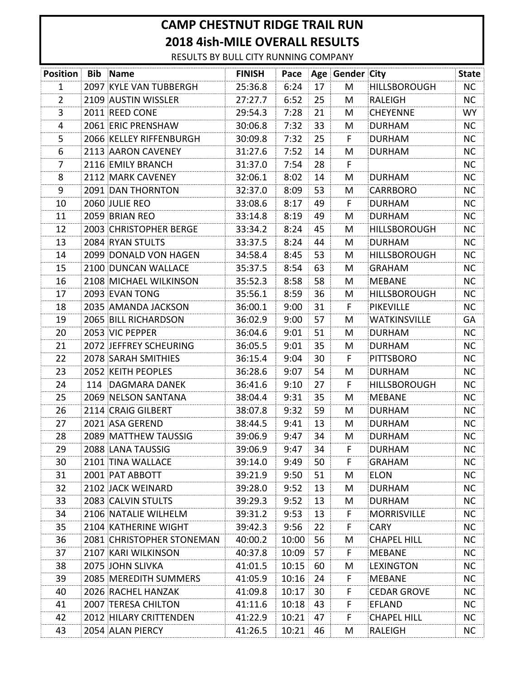## **CAMP CHESTNUT RIDGE TRAIL RUN 2018 4ish-MILE OVERALL RESULTS**

RESULTS BY BULL CITY RUNNING COMPANY

| <b>Position</b> | <b>Bib</b> Name               | <b>FINISH</b> | Pace  |    | Age Gender City |                     | <b>State</b> |
|-----------------|-------------------------------|---------------|-------|----|-----------------|---------------------|--------------|
| 1               | 2097 KYLE VAN TUBBERGH        | 25:36.8       | 6:24  | 17 | M               | <b>HILLSBOROUGH</b> | <b>NC</b>    |
| $\overline{2}$  | 2109 AUSTIN WISSLER           | 27:27.7       | 6:52  | 25 | M               | <b>RALEIGH</b>      | <b>NC</b>    |
| 3               | 2011 REED CONE                | 29:54.3       | 7:28  | 21 | M               | <b>CHEYENNE</b>     | WY.          |
| 4               | 2061 ERIC PRENSHAW            | 30:06.8       | 7:32  | 33 | M               | <b>DURHAM</b>       | <b>NC</b>    |
| 5               | 2066 KELLEY RIFFENBURGH       | 30:09.8       | 7:32  | 25 | F.              | <b>DURHAM</b>       | <b>NC</b>    |
| 6               | 2113 AARON CAVENEY            | 31:27.6       | 7:52  | 14 | M               | <b>DURHAM</b>       | NC.          |
| 7               | 2116 EMILY BRANCH             | 31:37.0       | 7:54  | 28 | F.              |                     | NC.          |
| 8               | 2112 MARK CAVENEY             | 32:06.1       | 8:02  | 14 | M               | <b>DURHAM</b>       | <b>NC</b>    |
| 9               | 2091 DAN THORNTON             | 32:37.0       | 8:09  | 53 | M               | <b>CARRBORO</b>     | NC.          |
| 10              | 2060 JULIE REO                | 33:08.6       | 8:17  | 49 | F.              | <b>DURHAM</b>       | <b>NC</b>    |
| 11              | 2059 BRIAN REO                | 33:14.8       | 8:19  | 49 | M               | <b>DURHAM</b>       | NC.          |
| 12              | 2003 CHRISTOPHER BERGE        | 33:34.2       | 8:24  | 45 | M               | <b>HILLSBOROUGH</b> | <b>NC</b>    |
| 13              | 2084 RYAN STULTS              | 33:37.5       | 8:24  | 44 | M               | <b>DURHAM</b>       | <b>NC</b>    |
| 14              | 2099 DONALD VON HAGEN         | 34:58.4       | 8:45  | 53 | M               | <b>HILLSBOROUGH</b> | <b>NC</b>    |
| 15              | 2100 DUNCAN WALLACE           | 35:37.5       | 8:54  | 63 | M               | <b>GRAHAM</b>       | <b>NC</b>    |
| 16              | 2108 MICHAEL WILKINSON        | 35:52.3       | 8:58  | 58 | M               | <b>MEBANE</b>       | <b>NC</b>    |
| 17              | 2093 EVAN TONG                | 35:56.1       | 8:59  | 36 | M               | <b>HILLSBOROUGH</b> | NC.          |
| 18              | 2035 AMANDA JACKSON           | 36:00.1       | 9:00  | 31 | F.              | <b>PIKEVILLE</b>    | <b>NC</b>    |
| 19              | 2065 BILL RICHARDSON          | 36:02.9       | 9:00  | 57 | M               | <b>WATKINSVILLE</b> | GA           |
| 20              | 2053 VIC PEPPER               | 36:04.6       | 9:01  | 51 | M               | <b>DURHAM</b>       | <b>NC</b>    |
| 21              | 2072 JEFFREY SCHEURING        | 36:05.5       | 9:01  | 35 | M               | <b>DURHAM</b>       | <b>NC</b>    |
| 22              | 2078 SARAH SMITHIES           | 36:15.4       | 9:04  | 30 | F.              | <b>PITTSBORO</b>    | <b>NC</b>    |
| 23              | 2052 KEITH PEOPLES            | 36:28.6       | 9:07  | 54 | M               | <b>DURHAM</b>       | <b>NC</b>    |
| 24              | 114 DAGMARA DANEK             | 36:41.6       | 9:10  | 27 | F.              | <b>HILLSBOROUGH</b> | <b>NC</b>    |
| 25              | 2069 NELSON SANTANA           | 38:04.4       | 9:31  | 35 | M               | <b>MEBANE</b>       | <b>NC</b>    |
| 26              | 2114 CRAIG GILBERT            | 38:07.8       | 9:32  | 59 | M               | <b>DURHAM</b>       | NC.          |
| 27              | 2021 ASA GEREND               | 38:44.5       | 9:41  | 13 | M               | <b>DURHAM</b>       | <b>NC</b>    |
| 28              | 2089 MATTHEW TAUSSIG          | 39:06.9       | 9:47  | 34 | M               | <b>DURHAM</b>       | NC.          |
| 29              | 2088 LANA TAUSSIG             | 39:06.9       | 9:47  | 34 | F               | <b>DURHAM</b>       | NC.          |
| 30              | 2101 TINA WALLACE             | 39:14.0       | 9:49  | 50 | F.              | <b>GRAHAM</b>       | <b>NC</b>    |
| 31              | 2001 PAT ABBOTT               | 39:21.9       | 9:50  | 51 | M               | <b>ELON</b>         | <b>NC</b>    |
| 32              | 2102 JACK WEINARD             | 39:28.0       | 9:52  | 13 | M               | <b>DURHAM</b>       | <b>NC</b>    |
| 33              | 2083 CALVIN STULTS            | 39:29.3       | 9:52  | 13 | M               | <b>DURHAM</b>       | <b>NC</b>    |
| 34              | 2106 NATALIE WILHELM          | 39:31.2       | 9:53  | 13 | F.              | <b>MORRISVILLE</b>  | NC.          |
| 35              | 2104 KATHERINE WIGHT          | 39:42.3       | 9:56  | 22 | F               | <b>CARY</b>         | <b>NC</b>    |
| 36              | 2081 CHRISTOPHER STONEMAN     | 40:00.2       | 10:00 | 56 | M               | <b>CHAPEL HILL</b>  | NC.          |
| 37              | 2107 KARI WILKINSON           | 40:37.8       | 10:09 | 57 | F.              | <b>MEBANE</b>       | <b>NC</b>    |
| 38              | 2075 JOHN SLIVKA              | 41:01.5       | 10:15 | 60 | M               | <b>LEXINGTON</b>    | NC.          |
| 39              | 2085 MEREDITH SUMMERS         | 41:05.9       | 10:16 | 24 | F               | <b>MEBANE</b>       | NC           |
| 40              | 2026 RACHEL HANZAK            | 41:09.8       | 10:17 | 30 | F.              | <b>CEDAR GROVE</b>  | <b>NC</b>    |
| 41              | 2007 TERESA CHILTON           | 41:11.6       | 10:18 | 43 | F,              | <b>EFLAND</b>       | NC           |
| 42              | <b>2012 HILARY CRITTENDEN</b> | 41:22.9       | 10:21 | 47 | F.              | <b>CHAPEL HILL</b>  | NC.          |
| 43              | 2054 ALAN PIERCY              | 41:26.5       | 10:21 | 46 | M               | RALEIGH             | NC.          |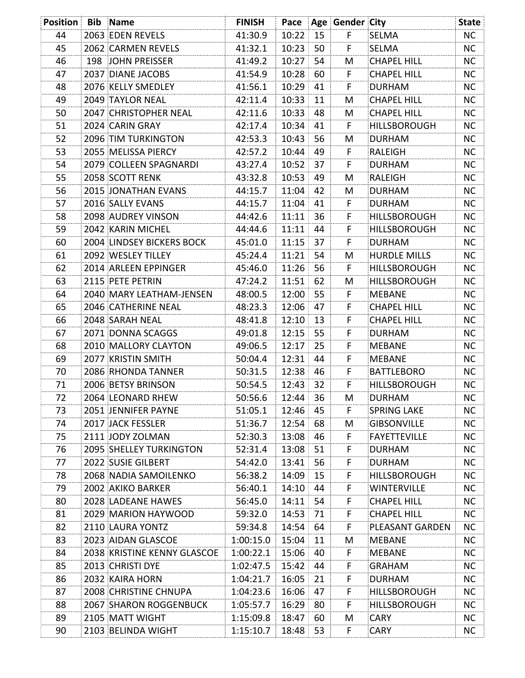| <b>Position Bib Name</b> |                                  | <b>FINISH</b> |                 |     | Pace   Age   Gender   City |                     | <b>State</b> |
|--------------------------|----------------------------------|---------------|-----------------|-----|----------------------------|---------------------|--------------|
| 44                       | 2063 EDEN REVELS                 | 41:30.9       | 10:22           | 15  | F.                         | SELMA               | <b>NC</b>    |
| 45                       | 2062 CARMEN REVELS               | 41:32.1       | 10:23           | 50  | F.                         | SELMA               | <b>NC</b>    |
| 46                       | 198 JOHN PREISSER                | 41:49.2       | 10:27           | 54  | M                          | <b>CHAPEL HILL</b>  | <b>NC</b>    |
| 47                       | 2037 DIANE JACOBS                | 41:54.9       | 10:28           | 60  | F                          | <b>CHAPEL HILL</b>  | <b>NC</b>    |
| 48                       | 2076 KELLY SMEDLEY               | 41:56.1       | 10:29           | 41  | F.                         | <b>DURHAM</b>       | <b>NC</b>    |
| 49                       | <b>2049 TAYLOR NEAL</b>          | 42:11.4       | 10:33           | 11  | M                          | <b>CHAPEL HILL</b>  | NC.          |
| 50                       | 2047 CHRISTOPHER NEAL            | 42:11.6       | 10:33           | 48  | M                          | <b>CHAPEL HILL</b>  | <b>NC</b>    |
| 51                       | 2024 CARIN GRAY                  | 42:17.4       | 10:34           | 41  | F                          | <b>HILLSBOROUGH</b> | <b>NC</b>    |
| 52                       | 2096 TIM TURKINGTON              | 42:53.3       | 10:43           | 56  | M                          | <b>DURHAM</b>       | <b>NC</b>    |
| 53                       | 2055 MELISSA PIERCY              | 42:57.2       | 10:44           | 49  | F                          | RALEIGH             | <b>NC</b>    |
| 54                       | 2079 COLLEEN SPAGNARDI           | 43:27.4       | 10:52           | 37  | F                          | <b>DURHAM</b>       | NC.          |
| 55                       | 2058 SCOTT RENK                  | 43:32.8       | 10:53           | 49  | M                          | RALEIGH             | <b>NC</b>    |
| 56                       | 2015 JONATHAN EVANS              | 44:15.7       | 11:04           | 42  | M                          | <b>DURHAM</b>       | NC.          |
| 57                       | 2016 SALLY EVANS                 | 44:15.7       | 11:04           | 41  | F.                         | <b>DURHAM</b>       | <b>NC</b>    |
| 58                       | 2098 AUDREY VINSON               | 44:42.6       | 11:11           | 36  | F                          | <b>HILLSBOROUGH</b> | <b>NC</b>    |
| 59                       | 2042 KARIN MICHEL                | 44:44.6       | 11:11           | 44  | F.                         | <b>HILLSBOROUGH</b> | <b>NC</b>    |
| 60                       | <b>2004 LINDSEY BICKERS BOCK</b> | 45:01.0       | 11:15           | 37  | F                          | <b>DURHAM</b>       | NC           |
| 61                       | 2092 WESLEY TILLEY               | 45:24.4       | 11:21           | 54  | M                          | <b>HURDLE MILLS</b> | <b>NC</b>    |
| 62                       | 2014 ARLEEN EPPINGER             | 45:46.0       | 11:26           | 56  | F                          | <b>HILLSBOROUGH</b> | <b>NC</b>    |
| 63                       | 2115 PETE PETRIN                 | 47:24.2       | 11:51           | 62  | M                          | <b>HILLSBOROUGH</b> | <b>NC</b>    |
| 64                       | 2040 MARY LEATHAM-JENSEN         | 48:00.5       | 12:00           | 55  | F                          | <b>MEBANE</b>       | <b>NC</b>    |
| 65                       | 2046 CATHERINE NEAL              | 48:23.3       | 12:06           | 47  | F                          | <b>CHAPEL HILL</b>  | <b>NC</b>    |
| 66                       | 2048 SARAH NEAL                  | 48:41.8       | 12:10           | 13  | F                          | <b>CHAPEL HILL</b>  | NC           |
| 67                       | 2071 DONNA SCAGGS                | 49:01.8       | 12:15           | 55  | F                          | <b>DURHAM</b>       | <b>NC</b>    |
| 68                       | 2010 MALLORY CLAYTON             | 49:06.5       | 12:17           | 25  | F.                         | <b>MEBANE</b>       | <b>NC</b>    |
| 69                       | 2077 KRISTIN SMITH               | 50:04.4       | 12:31           | 44  | F                          | <b>MEBANE</b>       | <b>NC</b>    |
| 70                       | 2086 RHONDA TANNER               | 50:31.5       | 12:38           | 46  | F                          | <b>BATTLEBORO</b>   | <b>NC</b>    |
| 71                       | 2006 BETSY BRINSON               | 50:54.5       | 12:43           | 32  | F                          | <b>HILLSBOROUGH</b> | <b>NC</b>    |
| 72                       | 2064 LEONARD RHEW                | 50:56.6       | 12:44:          | 36  | М                          | <b>DURHAM</b>       | ΝC           |
| 73                       | 2051 JENNIFER PAYNE              | 51:05.1       | $12:46 \div 45$ |     | F.                         | <b>SPRING LAKE</b>  | <b>NC</b>    |
| 74                       | 2017 JACK FESSLER                | 51:36.7       | 12:54           | 68  | M                          | <b>GIBSONVILLE</b>  | NC.          |
| 75                       | 2111 JODY ZOLMAN                 | 52:30.3       | 13:08           | 46  | F                          | <b>FAYETTEVILLE</b> | <b>NC</b>    |
| 76                       | 2095 SHELLEY TURKINGTON          | 52:31.4       | 13:08           | 51  | F.                         | <b>DURHAM</b>       | <b>NC</b>    |
| 77                       | 2022 SUSIE GILBERT               | 54:42.0       | 13:41           | 56  | F                          | <b>DURHAM</b>       | <b>NC</b>    |
| 78                       | 2068 NADIA SAMOILENKO            | 56:38.2       | 14:09           | 15  | F.                         | <b>HILLSBOROUGH</b> | NC           |
| 79                       | 2002 AKIKO BARKER                | 56:40.1       | 14:10 44        |     | F.                         | <b>WINTERVILLE</b>  | <b>NC</b>    |
| 80                       | 2028 LADEANE HAWES               | 56:45.0       | 14:11           | -54 | F.                         | <b>CHAPEL HILL</b>  | <b>NC</b>    |
| 81                       | 2029 MARION HAYWOOD              | 59:32.0       | 14:53           | 71  | F.                         | <b>CHAPEL HILL</b>  | <b>NC</b>    |
| 82                       | 2110 LAURA YONTZ                 | 59:34.8       | 14:54           | 64  | F.                         | PLEASANT GARDEN     | <b>NC</b>    |
| 83                       | 2023 AIDAN GLASCOE               | 1:00:15.0     | 15:04           | 11  | M                          | MEBANE              | <b>NC</b>    |
| 84                       | 2038 KRISTINE KENNY GLASCOE      | 1:00:22.1     | 15:06           | 40  | F.                         | <b>MEBANE</b>       | <b>NC</b>    |
| 85                       | 2013 CHRISTI DYE                 | 1:02:47.5     | 15:42           | 44  | F                          | <b>GRAHAM</b>       | <b>NC</b>    |
| 86                       | 2032 KAIRA HORN                  | 1:04:21.7     | 16:05           | 21  | F                          | <b>DURHAM</b>       | <b>NC</b>    |
| 87                       | 2008 CHRISTINE CHNUPA            | 1:04:23.6     | 16:06 47        |     | F                          | <b>HILLSBOROUGH</b> | <b>NC</b>    |
| 88                       | <b>2067 SHARON ROGGENBUCK</b>    | 1:05:57.7     | 16:29           | -80 | F.                         | <b>HILLSBOROUGH</b> | <b>NC</b>    |
| 89                       | 2105 MATT WIGHT                  | 1:15:09.8     | 18:47           | -60 | M                          | <b>CARY</b>         | <b>NC</b>    |
| 90                       | 2103 BELINDA WIGHT               | 1:15:10.7     | $18:48$ 53      |     | F.                         | <b>CARY</b>         | NC.          |
|                          |                                  |               |                 |     |                            |                     |              |